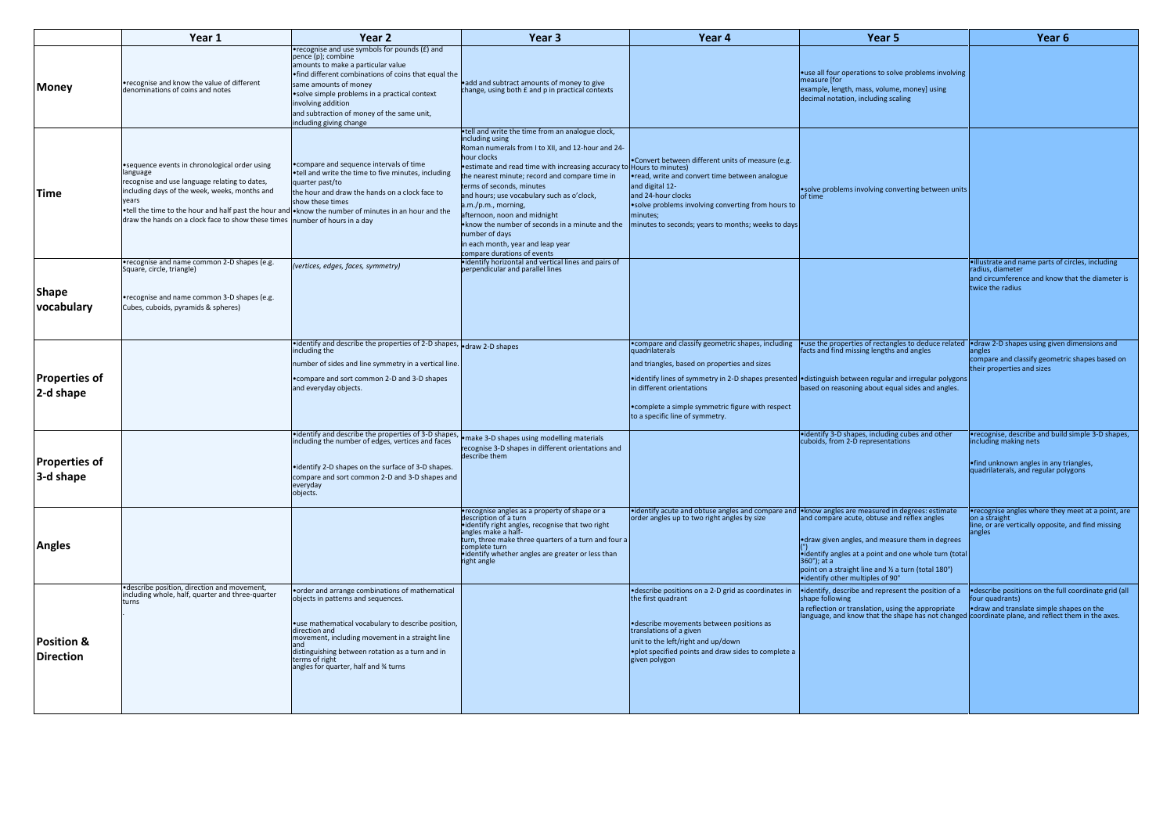|                                           | Year 1                                                                                                                                                                                                                                                                                                                                                      | Year <sub>2</sub>                                                                                                                                                                                                                                                                                                                            | Year <sub>3</sub>                                                                                                                                                                                                                                                                                                                                                                                                                                                                                                                             | Year 4                                                                                                                                                                                                                                                                   | Year 5                                                                                                                                                                                                                                                                                                   | Year 6                                                                                                                                                       |
|-------------------------------------------|-------------------------------------------------------------------------------------------------------------------------------------------------------------------------------------------------------------------------------------------------------------------------------------------------------------------------------------------------------------|----------------------------------------------------------------------------------------------------------------------------------------------------------------------------------------------------------------------------------------------------------------------------------------------------------------------------------------------|-----------------------------------------------------------------------------------------------------------------------------------------------------------------------------------------------------------------------------------------------------------------------------------------------------------------------------------------------------------------------------------------------------------------------------------------------------------------------------------------------------------------------------------------------|--------------------------------------------------------------------------------------------------------------------------------------------------------------------------------------------------------------------------------------------------------------------------|----------------------------------------------------------------------------------------------------------------------------------------------------------------------------------------------------------------------------------------------------------------------------------------------------------|--------------------------------------------------------------------------------------------------------------------------------------------------------------|
| <b>Money</b>                              | . recognise and know the value of different<br>denominations of coins and notes                                                                                                                                                                                                                                                                             | •recognise and use symbols for pounds (£) and<br>pence (p); combine<br>amounts to make a particular value<br>. find different combinations of coins that equal the<br>same amounts of money<br>• solve simple problems in a practical context<br>involving addition<br>and subtraction of money of the same unit,<br>including giving change | • add and subtract amounts of money to give<br>change, using both £ and p in practical contexts                                                                                                                                                                                                                                                                                                                                                                                                                                               |                                                                                                                                                                                                                                                                          | • use all four operations to solve problems involving<br>measure [for<br>example, length, mass, volume, money] using<br>decimal notation, including scaling                                                                                                                                              |                                                                                                                                                              |
| <b>Time</b>                               | •sequence events in chronological order using<br>language<br>recognise and use language relating to dates,<br>including days of the week, weeks, months and<br>vears<br>•tell the time to the hour and half past the hour and •know the number of minutes in an hour and the<br>draw the hands on a clock face to show these times number of hours in a day | • compare and sequence intervals of time<br>.tell and write the time to five minutes, including<br>quarter past/to<br>the hour and draw the hands on a clock face to<br>show these times                                                                                                                                                     | •tell and write the time from an analogue clock,<br>including using<br>Roman numerals from I to XII, and 12-hour and 24-<br>hour clocks<br>estimate and read time with increasing accuracy to Hours to minutes)<br>the nearest minute; record and compare time in<br>terms of seconds, minutes<br>and hours; use vocabulary such as o'clock,<br>a.m./p.m., morning,<br>afternoon, noon and midnight<br>. know the number of seconds in a minute and the<br>number of days<br>in each month, year and leap year<br>compare durations of events | .Convert between different units of measure (e.g.<br>• read, write and convert time between analogue<br>and digital 12-<br>and 24-hour clocks<br>.solve problems involving converting from hours to<br>minutes;<br>minutes to seconds; years to months; weeks to days    | • solve problems involving converting between units<br>of time                                                                                                                                                                                                                                           |                                                                                                                                                              |
| Shape<br>vocabulary                       | •recognise and name common 2-D shapes (e.g.<br>Square, circle, triangle)<br>• recognise and name common 3-D shapes (e.g.<br>Cubes, cuboids, pyramids & spheres)                                                                                                                                                                                             | (vertices, edges, faces, symmetry)                                                                                                                                                                                                                                                                                                           | •identify horizontal and vertical lines and pairs of<br>perpendicular and parallel lines                                                                                                                                                                                                                                                                                                                                                                                                                                                      |                                                                                                                                                                                                                                                                          |                                                                                                                                                                                                                                                                                                          | •illustrate and name parts of circles, including<br>radius, diameter<br>and circumference and know that the diameter is<br>twice the radius                  |
| Properties of<br>2-d shape                |                                                                                                                                                                                                                                                                                                                                                             | $\bullet$ identify and describe the properties of 2-D shapes, $\bullet$ draw 2-D shapes<br>including the<br>number of sides and line symmetry in a vertical line.<br>• compare and sort common 2-D and 3-D shapes<br>and everyday objects.                                                                                                   |                                                                                                                                                                                                                                                                                                                                                                                                                                                                                                                                               | • compare and classify geometric shapes, including<br>quadrilaterals<br>and triangles, based on properties and sizes<br>in different orientations<br>• complete a simple symmetric figure with respect<br>to a specific line of symmetry.                                | •use the properties of rectangles to deduce related •draw 2-D shapes using given dimensions and facts and find missing lengths and angles<br>•identify lines of symmetry in 2-D shapes presented •distinguish between regular and irregular polygons<br>based on reasoning about equal sides and angles. | compare and classify geometric shapes based on<br>their properties and sizes                                                                                 |
| Properties of<br>3-d shape                |                                                                                                                                                                                                                                                                                                                                                             | •identify and describe the properties of 3-D shapes,<br>including the number of edges, vertices and faces<br>• identify 2-D shapes on the surface of 3-D shapes.<br>compare and sort common 2-D and 3-D shapes and<br>everyday<br>objects.                                                                                                   | • make 3-D shapes using modelling materials<br>recognise 3-D shapes in different orientations and<br>describe them                                                                                                                                                                                                                                                                                                                                                                                                                            |                                                                                                                                                                                                                                                                          | • identify 3-D shapes, including cubes and other<br>cuboids, from 2-D representations                                                                                                                                                                                                                    | . recognise, describe and build simple 3-D shapes<br>including making nets<br>•find unknown angles in any triangles,<br>quadrilaterals, and regular polygons |
| <b>Angles</b>                             |                                                                                                                                                                                                                                                                                                                                                             |                                                                                                                                                                                                                                                                                                                                              | • recognise angles as a property of shape or a<br>description of a turn<br>•identify right angles, recognise that two right<br>angles make a half-<br>turn, three make three quarters of a turn and four a<br>complete turn<br>•identify whether angles are greater or less than<br>right angle                                                                                                                                                                                                                                               | •identify acute and obtuse angles and compare and •know angles are measured in degrees: estimate<br>order angles up to two right angles by size                                                                                                                          | and compare acute, obtuse and reflex angles<br>• draw given angles, and measure them in degrees<br>•identify angles at a point and one whole turn (total<br>$360^\circ$ ); at a<br>point on a straight line and 1/2 a turn (total 180°)<br>•identify other multiples of 90°                              | •recognise angles where they meet at a point, ar<br>on a straight<br>line, or are vertically opposite, and find missing<br>angles                            |
| <b>Position &amp;</b><br><b>Direction</b> | • describe position, direction and movement,<br>including whole, half, quarter and three-quarter<br>turns                                                                                                                                                                                                                                                   | • order and arrange combinations of mathematical<br>objects in patterns and sequences.<br>• use mathematical vocabulary to describe position,<br>direction and<br>movement, including movement in a straight line<br>distinguishing between rotation as a turn and in<br>terms of right<br>angles for quarter, half and % turns              |                                                                                                                                                                                                                                                                                                                                                                                                                                                                                                                                               | • describe positions on a 2-D grid as coordinates in<br>the first quadrant<br><b>•</b> describe movements between positions as<br>translations of a given<br>unit to the left/right and up/down<br>. plot specified points and draw sides to complete a<br>given polygon | • identify, describe and represent the position of a<br>shape following<br>a reflection or translation, using the appropriate variant of ranslate simple shapes on the language, and know that the shape has not changed coordinate plane, and reflect them in the axes.                                 | ·describe positions on the full coordinate grid (al<br>four quadrants)                                                                                       |

| r 5                                                                                                                                         | Year <sub>6</sub>                                                                                                                                                                               |
|---------------------------------------------------------------------------------------------------------------------------------------------|-------------------------------------------------------------------------------------------------------------------------------------------------------------------------------------------------|
| solve problems involving<br>ime, money] using<br>scaling                                                                                    |                                                                                                                                                                                                 |
| onverting between units                                                                                                                     |                                                                                                                                                                                                 |
|                                                                                                                                             | •illustrate and name parts of circles, including<br>radius, diameter<br>and circumference and know that the diameter is<br>twice the radius                                                     |
| ingles to deduce related<br>hs and angles<br>ar and irregular polygons<br>gual sides and angles.                                            | • draw 2-D shapes using given dimensions and<br>angles<br>compare and classify geometric shapes based on<br>their properties and sizes                                                          |
| ling cubes and other<br>tations                                                                                                             | •recognise, describe and build simple 3-D shapes,<br>including making nets<br>•find unknown angles in any triangles,<br>quadrilaterais, and regular polygons                                    |
| d in degrees: estimate<br>and reflex angles<br>easure them in degrees<br>ind one whole turn (total<br>½ a turn (total 180°)<br>$90^{\circ}$ | •recognise angles where they meet at a point, are<br>on a straight<br>line, or are vertically opposite, and find missing<br>angles                                                              |
| esent the position of a<br>using the appropriate                                                                                            | • describe positions on the full coordinate grid (all<br>four quadrants)<br>.draw and translate simple shapes on the<br>e shape has not changed coordinate plane, and reflect them in the axes. |
|                                                                                                                                             |                                                                                                                                                                                                 |